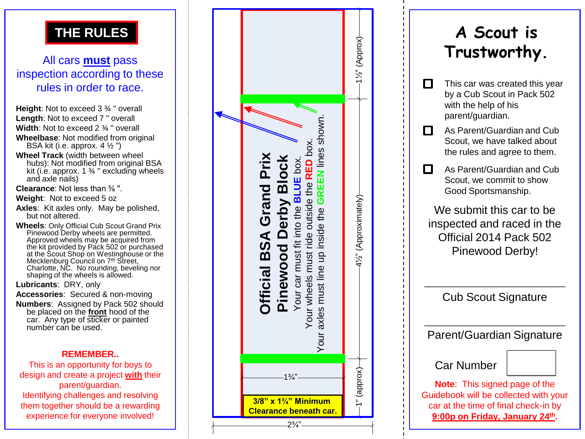### **THE RULES**

### All cars **must** pass inspection according to these rules in order to race.

- **Height**: Not to exceed 3 ¾ " overall **Length**: Not to exceed 7 " overall **Width**: Not to exceed 2 ¾ " overall
- **Wheelbase**: Not modified from original BSA kit (i.e. approx.  $4\frac{1}{2}$ ")
- **Wheel Track** (width between wheel hubs): Not modified from original BSA kit (i.e. approx.  $1\frac{3}{4}$  " excluding wheels and axle nails)
- **Clearance**: Not less than ⅜ ".
- **Weight**: Not to exceed 5 oz
- **Axles**: Kit axles only. May be polished, but not altered.
- **Wheels**: Only Official Cub Scout Grand Prix Pinewood Derby wheels are permitted. Approved wheels may be acquired from the kit provided by Pack 502 or purchased at the Scout Shop on Westinghouse or the Mecklenburg Council on 7<sup>th</sup> Street, Charlotte, NC. No rounding, beveling nor shaping of the wheels is allowed.

**Lubricants**: DRY, only

**Accessories**: Secured & non -moving

**Numbers**: Assigned by Pack 502 should be placed on the **front** hood of the car. Any type of sticker or painted number can be used.

### **REMEMBER..**

This is an opportunity for boys to design and create a project **with** their parent/guardian. Identifying challenges and resolving them together should be a rewarding experience for everyone involved!

|                                                                                                                                                                                                              | $-1\frac{1}{2}$ (Approx)- |
|--------------------------------------------------------------------------------------------------------------------------------------------------------------------------------------------------------------|---------------------------|
| Your axles must line up inside the GREEN lines shown.<br>Your wheels must ride outside the RED box.<br>Official BSA Grand Prix<br><b>Pinewood Derby Block</b><br>Your car must fit into the <b>BLUE</b> box. | 41/2" (Approximately)     |
| $1\frac{3}{4}$                                                                                                                                                                                               | $-1$ " (approx) $-$       |
| 3/8"<br>$x 1^{3/2}$<br><b>Minimum</b><br>Clearance beneath car.<br>$2\frac{3}{4}$                                                                                                                            |                           |

## **A Scout is Trustworthy.**

- This car was created this year  $\Box$ by a Cub Scout in Pack 502 with the help of his parent/guardian.
- П. As Parent/Guardian and Cub Scout, we have talked about the rules and agree to them.
- П As Parent/Guardian and Cub Scout, we commit to show Good Sportsmanship.

We submit this car to be inspected and raced in the Official 2014 Pack 502 Pinewood Derby!

Cub Scout Signature

Parent/Guardian Signature

Car Number

**Note**: This signed page of the Guidebook will be collected with your car at the time of final check -in by **9:00p on Friday, January 24th .**